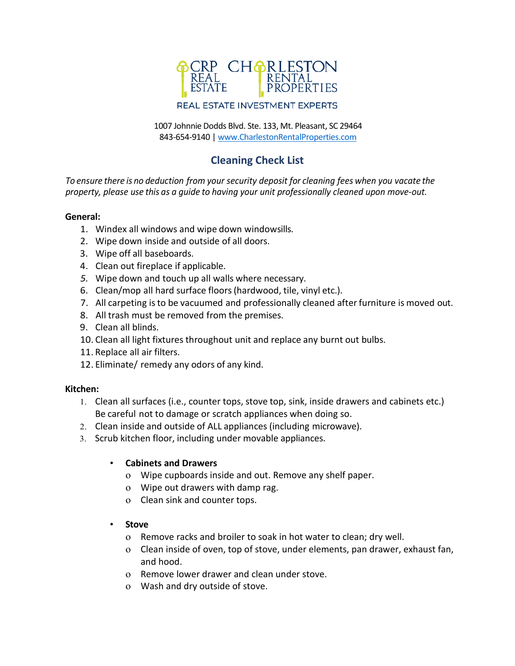

1007 Johnnie Dodds Blvd. Ste. 133, Mt. Pleasant, SC 29464 843-654-9140 [| www.CharlestonRentalProperties.com](http://www.charlestonrentalproperties.com/)

# **Cleaning Check List**

*To ensure there is no deduction from your security deposit for cleaning fees when you vacate the property, please use this as a guide to having your unit professionally cleaned upon move-out.*

### **General:**

- 1. Windex all windows and wipe down windowsills.
- 2. Wipe down inside and outside of all doors.
- 3. Wipe off all baseboards.
- 4. Clean out fireplace if applicable.
- *5.* Wipe down and touch up all walls where necessary.
- 6. Clean/mop all hard surface floors(hardwood, tile, vinyl etc.).
- 7. All carpeting isto be vacuumed and professionally cleaned after furniture is moved out.
- 8. All trash must be removed from the premises.
- 9. Clean all blinds.
- 10. Clean all light fixtures throughout unit and replace any burnt out bulbs.
- 11. Replace all air filters.
- 12. Eliminate/ remedy any odors of any kind.

#### **Kitchen:**

- 1. Clean all surfaces (i.e., counter tops, stove top, sink, inside drawers and cabinets etc.) Be careful not to damage or scratch appliances when doing so.
- 2. Clean inside and outside of ALL appliances (including microwave).
- 3. Scrub kitchen floor, including under movable appliances.
	- **Cabinets and Drawers**
		- o Wipe cupboards inside and out. Remove any shelf paper.
		- o Wipe out drawers with damp rag.
		- o Clean sink and counter tops.
	- **Stove**
		- o Remove racks and broiler to soak in hot water to clean; dry well.
		- o Clean inside of oven, top of stove, under elements, pan drawer, exhaust fan, and hood.
		- o Remove lower drawer and clean under stove.
		- o Wash and dry outside of stove.